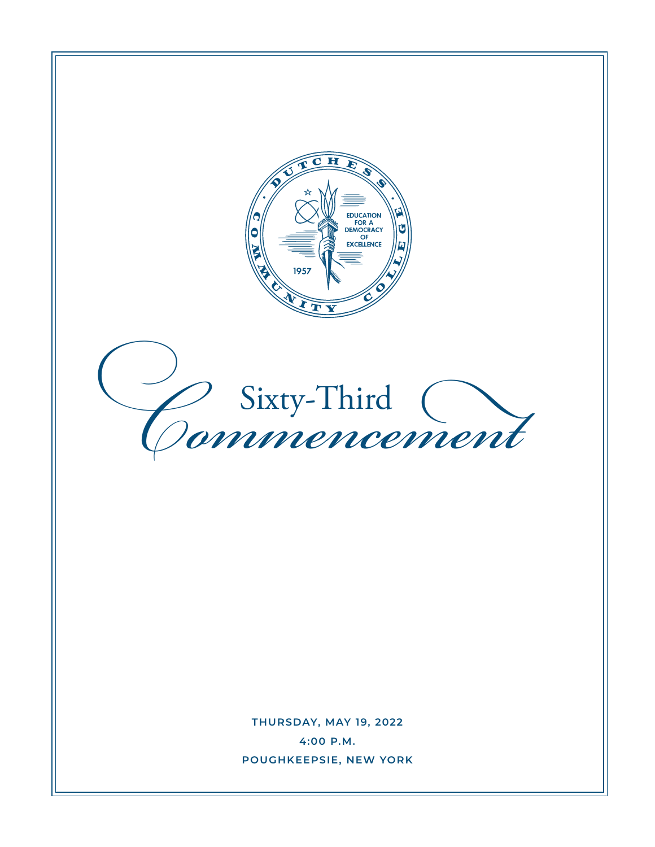

**THURSDAY, MAY 19, 2022 4:00 P.M. POUGHKEEPSIE, NEW YORK**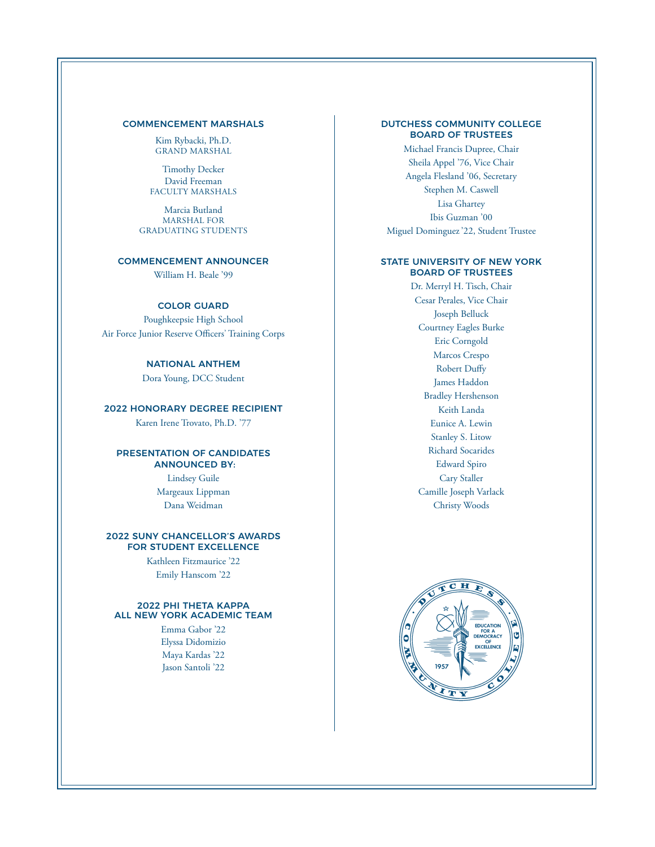#### COMMENCEMENT MARSHALS

Kim Rybacki, Ph.D. GRAND MARSHAL

Timothy Decker David Freeman FACULTY MARSHALS

Marcia Butland MARSHAL FOR GRADUATING STUDENTS

#### COMMENCEMENT ANNOUNCER

William H. Beale '99

#### COLOR GUARD

Poughkeepsie High School Air Force Junior Reserve Officers' Training Corps

#### NATIONAL ANTHEM

Dora Young, DCC Student

#### 2022 HONORARY DEGREE RECIPIENT

Karen Irene Trovato, Ph.D. '77

#### PRESENTATION OF CANDIDATES ANNOUNCED BY:

Lindsey Guile Margeaux Lippman Dana Weidman

#### 2022 SUNY CHANCELLOR'S AWARDS FOR STUDENT EXCELLENCE

Kathleen Fitzmaurice '22 Emily Hanscom '22

#### 2022 PHI THETA KAPPA ALL NEW YORK ACADEMIC TEAM

Emma Gabor '22 Elyssa Didomizio Maya Kardas '22 Jason Santoli '22

#### DUTCHESS COMMUNITY COLLEGE BOARD OF TRUSTEES

Michael Francis Dupree, Chair Sheila Appel '76, Vice Chair Angela Flesland '06, Secretary Stephen M. Caswell Lisa Ghartey Ibis Guzman '00 Miguel Dominguez '22, Student Trustee

#### STATE UNIVERSITY OF NEW YORK BOARD OF TRUSTEES

Dr. Merryl H. Tisch, Chair Cesar Perales, Vice Chair Joseph Belluck Courtney Eagles Burke Eric Corngold Marcos Crespo Robert Dufy James Haddon Bradley Hershenson Keith Landa Eunice A. Lewin Stanley S. Litow Richard Socarides Edward Spiro Cary Staller Camille Joseph Varlack Christy Woods

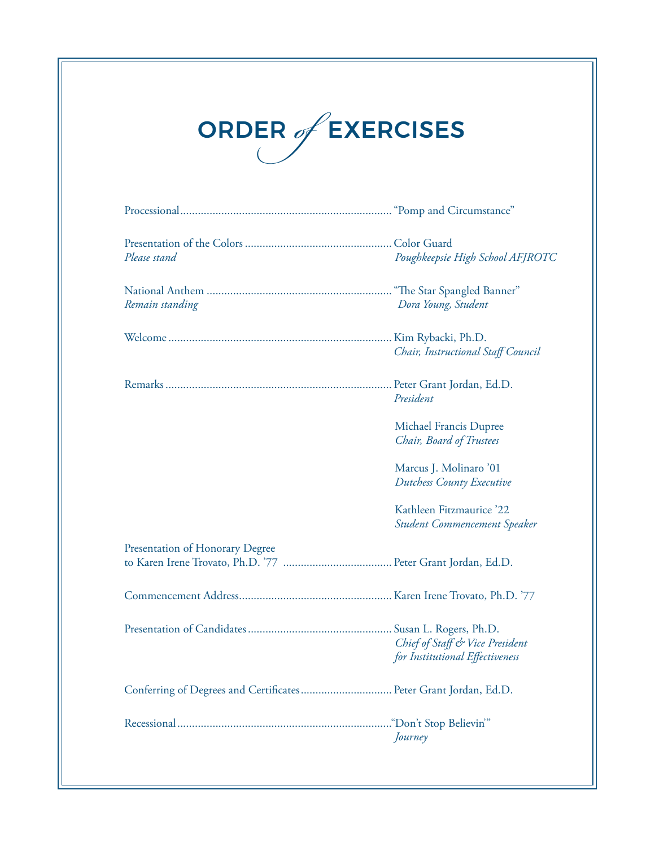# ORDER of EXERCISES

| Please stand                                                     | Poughkeepsie High School AFJROTC                                   |
|------------------------------------------------------------------|--------------------------------------------------------------------|
| Remain standing                                                  | Dora Young, Student                                                |
|                                                                  | Chair, Instructional Staff Council                                 |
|                                                                  | President                                                          |
|                                                                  | Michael Francis Dupree<br>Chair, Board of Trustees                 |
|                                                                  | Marcus J. Molinaro '01<br><b>Dutchess County Executive</b>         |
|                                                                  | Kathleen Fitzmaurice '22<br>Student Commencement Speaker           |
| Presentation of Honorary Degree                                  |                                                                    |
|                                                                  |                                                                    |
|                                                                  | Chief of Staff & Vice President<br>for Institutional Effectiveness |
| Conferring of Degrees and Certificates Peter Grant Jordan, Ed.D. |                                                                    |
|                                                                  | Journey                                                            |
|                                                                  |                                                                    |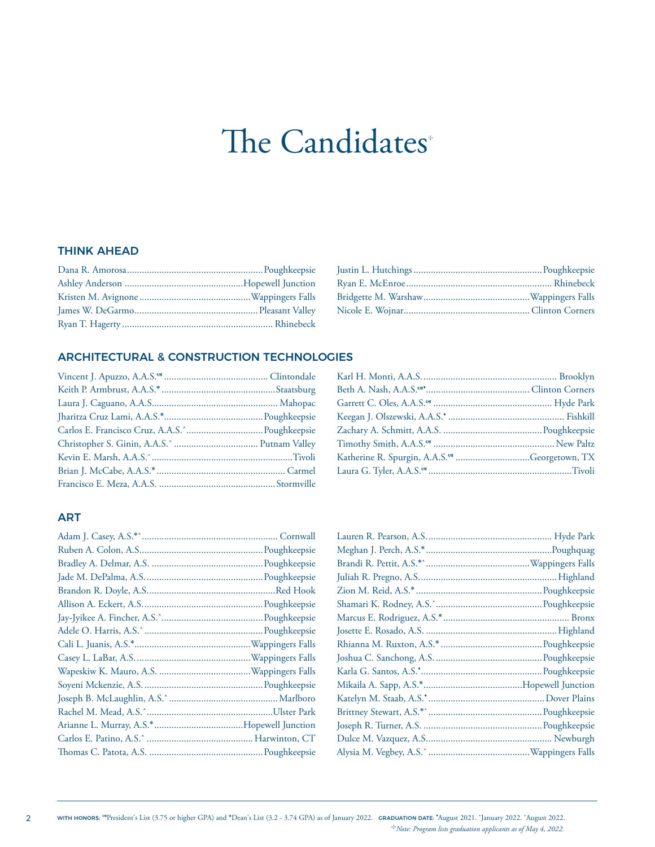## The Candidates<sup>+</sup>

#### THINK AHEAD

#### ARCHITECTURAL & CONSTRUCTION TECHNOLOGIES

| Katherine R. Spurgin, A.A.S. <sup>or</sup> Georgetown, TX |  |
|-----------------------------------------------------------|--|
|                                                           |  |

#### ART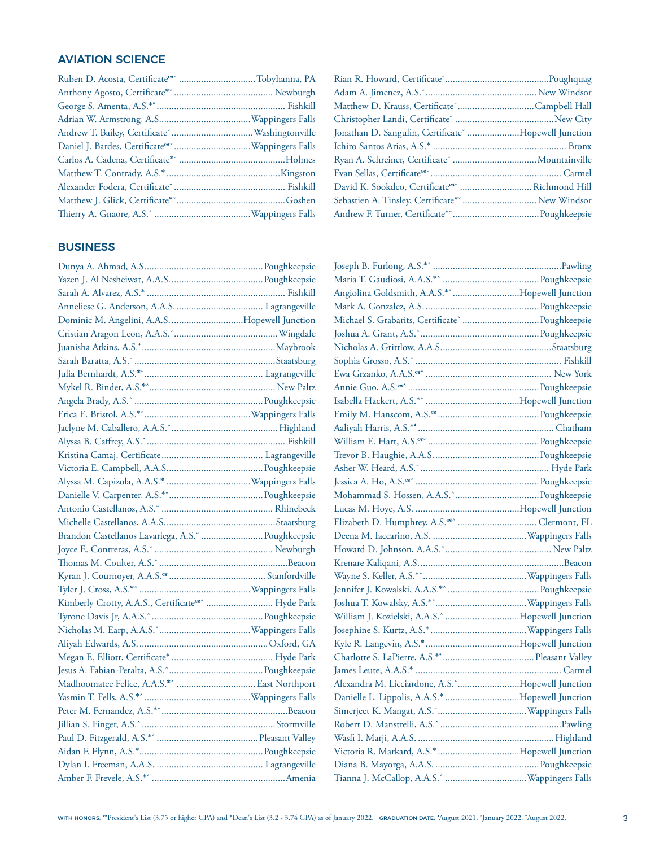#### AVIATION SCIENCE

| Ruben D. Acosta, Certificate <sup>or</sup> Tobyhanna, PA |
|----------------------------------------------------------|
|                                                          |
|                                                          |
|                                                          |
|                                                          |
|                                                          |
|                                                          |
|                                                          |
|                                                          |
|                                                          |
|                                                          |
|                                                          |

#### BUSINESS

| Dominic M. Angelini, A.A.S. Hopewell Junction                |  |
|--------------------------------------------------------------|--|
|                                                              |  |
|                                                              |  |
|                                                              |  |
| Julia Bernhardt, A.S.* Communication and Lagrangeville       |  |
|                                                              |  |
|                                                              |  |
|                                                              |  |
|                                                              |  |
|                                                              |  |
|                                                              |  |
|                                                              |  |
|                                                              |  |
|                                                              |  |
|                                                              |  |
|                                                              |  |
| Brandon Castellanos Lavariega, A.S. " Poughkeepsie           |  |
|                                                              |  |
|                                                              |  |
|                                                              |  |
|                                                              |  |
| Kimberly Crotty, A.A.S., Certificate <sup>os</sup> Hyde Park |  |
|                                                              |  |
|                                                              |  |
|                                                              |  |
|                                                              |  |
|                                                              |  |
|                                                              |  |
|                                                              |  |
|                                                              |  |
|                                                              |  |
|                                                              |  |
|                                                              |  |
|                                                              |  |
|                                                              |  |

| Rian R. Howard, Certificate Manuscullum and Poughquag     |
|-----------------------------------------------------------|
|                                                           |
|                                                           |
|                                                           |
| Jonathan D. Sangulin, Certificate "Hopewell Junction      |
|                                                           |
| Ryan A. Schreiner, Certificate [11, 2010]. Mountainville  |
|                                                           |
| David K. Sookdeo, Certificate <sup>os</sup> Richmond Hill |
|                                                           |
|                                                           |
|                                                           |

| Angiolina Goldsmith, A.A.S.*^Hopewell Junction         |  |
|--------------------------------------------------------|--|
|                                                        |  |
|                                                        |  |
|                                                        |  |
|                                                        |  |
|                                                        |  |
|                                                        |  |
|                                                        |  |
|                                                        |  |
|                                                        |  |
|                                                        |  |
|                                                        |  |
|                                                        |  |
|                                                        |  |
|                                                        |  |
|                                                        |  |
|                                                        |  |
| Elizabeth D. Humphrey, A.S. <sup>68</sup> Clermont, FL |  |
|                                                        |  |
|                                                        |  |
|                                                        |  |
|                                                        |  |
|                                                        |  |
|                                                        |  |
| William J. Kozielski, A.A.S.^ Hopewell Junction        |  |
|                                                        |  |
|                                                        |  |
|                                                        |  |
|                                                        |  |
| Alexandra M. Licciardone, A.S.^Hopewell Junction       |  |
|                                                        |  |
|                                                        |  |
|                                                        |  |
|                                                        |  |
|                                                        |  |
|                                                        |  |
|                                                        |  |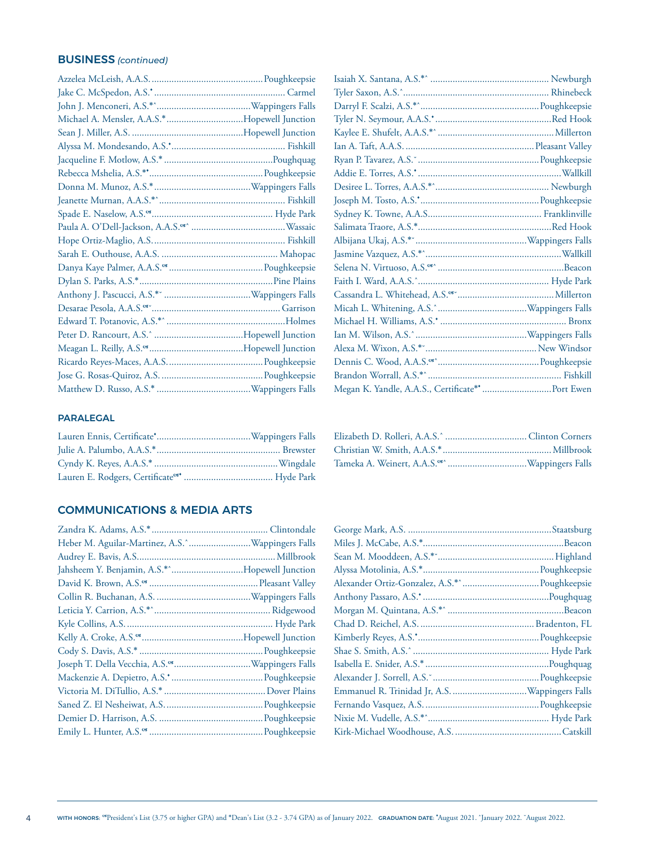#### BUSINESS *(continued)*

| Michael A. Mensler, A.A.S.*Hopewell Junction |  |
|----------------------------------------------|--|
|                                              |  |
|                                              |  |
|                                              |  |
|                                              |  |
|                                              |  |
|                                              |  |
|                                              |  |
|                                              |  |
|                                              |  |
|                                              |  |
|                                              |  |
|                                              |  |
|                                              |  |
|                                              |  |
|                                              |  |
|                                              |  |
|                                              |  |
|                                              |  |
|                                              |  |
|                                              |  |
|                                              |  |

| <b>PARALEGAL</b> |
|------------------|
|------------------|

#### COMMUNICATIONS & MEDIA ARTS

| Heber M. Aguilar-Martinez, A.S. ^ Wappingers Falls |
|----------------------------------------------------|
|                                                    |
| Jahsheem Y. Benjamin, A.S.*^Hopewell Junction      |
|                                                    |
|                                                    |
|                                                    |
|                                                    |
|                                                    |
|                                                    |
|                                                    |
|                                                    |
|                                                    |
|                                                    |
|                                                    |
|                                                    |
|                                                    |

| Megan K. Yandle, A.A.S., Certificate** Port Ewen |  |
|--------------------------------------------------|--|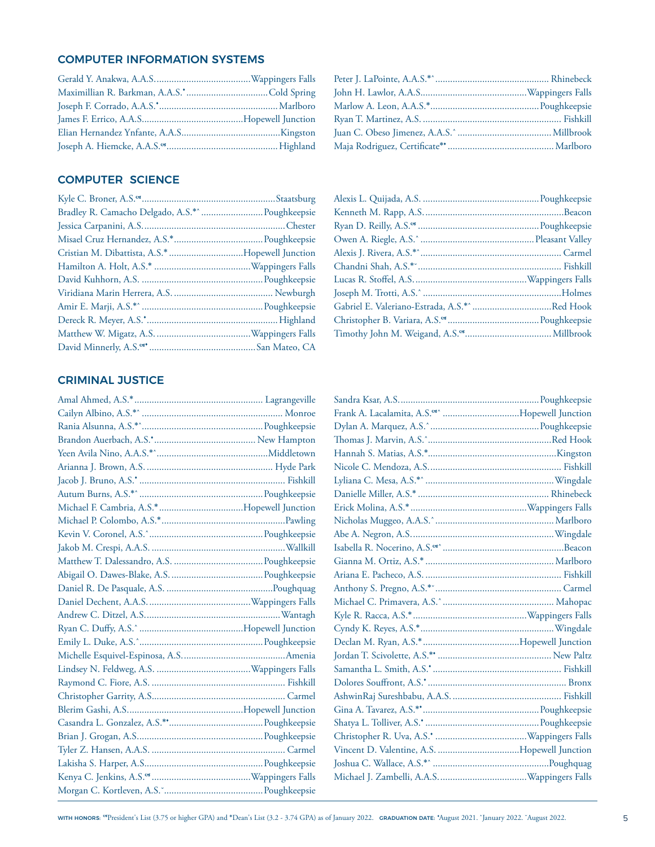#### COMPUTER INFORMATION SYSTEMS

#### COMPUTER SCIENCE

| Bradley R. Camacho Delgado, A.S.*^  Poughkeepsie |  |
|--------------------------------------------------|--|
|                                                  |  |
|                                                  |  |
| Cristian M. Dibattista, A.S.* Hopewell Junction  |  |
|                                                  |  |
|                                                  |  |
|                                                  |  |
|                                                  |  |
|                                                  |  |
|                                                  |  |
|                                                  |  |
|                                                  |  |

#### CRIMINAL JUSTICE

| Michael F. Cambria, A.S.*Hopewell Junction |  |
|--------------------------------------------|--|
|                                            |  |
|                                            |  |
|                                            |  |
|                                            |  |
|                                            |  |
|                                            |  |
|                                            |  |
|                                            |  |
|                                            |  |
|                                            |  |
|                                            |  |
|                                            |  |
|                                            |  |
|                                            |  |
|                                            |  |
|                                            |  |
|                                            |  |
|                                            |  |
|                                            |  |
|                                            |  |
|                                            |  |
|                                            |  |

| Frank A. Lacalamita, A.S. <sup>68</sup> Hopewell Junction |  |
|-----------------------------------------------------------|--|
|                                                           |  |
|                                                           |  |
|                                                           |  |
|                                                           |  |
|                                                           |  |
|                                                           |  |
|                                                           |  |
|                                                           |  |
|                                                           |  |
|                                                           |  |
|                                                           |  |
|                                                           |  |
|                                                           |  |
|                                                           |  |
|                                                           |  |
|                                                           |  |
|                                                           |  |
|                                                           |  |
|                                                           |  |
|                                                           |  |
|                                                           |  |
|                                                           |  |
|                                                           |  |
|                                                           |  |
|                                                           |  |
|                                                           |  |
|                                                           |  |
|                                                           |  |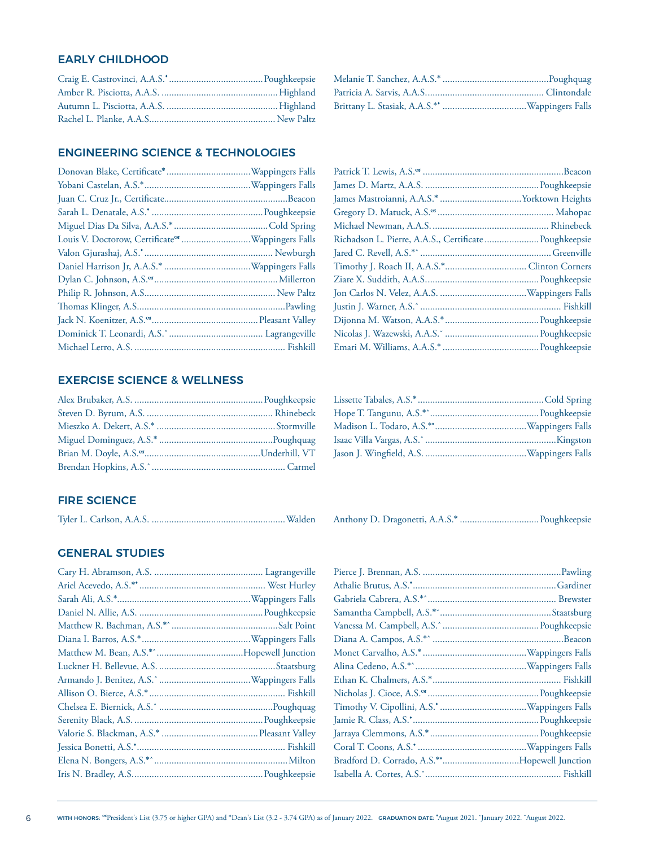#### EARLY CHILDHOOD

#### ENGINEERING SCIENCE & TECHNOLOGIES

#### EXERCISE SCIENCE & WELLNESS

| Richadson L. Pierre, A.A.S., Certificate  Poughkeepsie |  |
|--------------------------------------------------------|--|
|                                                        |  |
|                                                        |  |
|                                                        |  |
|                                                        |  |
|                                                        |  |
|                                                        |  |
|                                                        |  |
|                                                        |  |

Anthony D. Dragonetti, A.A.S.\* ................................Poughkeepsie

#### **FIRE SCIENCE**

|--|--|--|--|--|--|

#### GENERAL STUDIES

| Bradford D. Corrado, A.S.**Hopewell Junction |  |
|----------------------------------------------|--|
|                                              |  |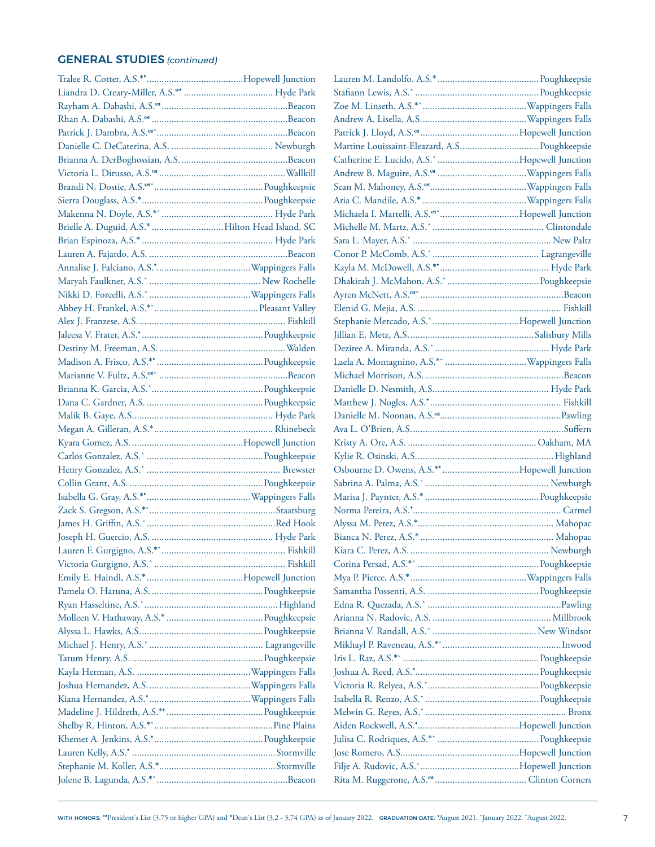#### GENERAL STUDIES *(continued)*

| Brielle A. Duguid, A.S.*  Hilton Head Island, SC |  |
|--------------------------------------------------|--|
|                                                  |  |
|                                                  |  |
|                                                  |  |
|                                                  |  |
|                                                  |  |
|                                                  |  |
|                                                  |  |
|                                                  |  |
|                                                  |  |
|                                                  |  |
|                                                  |  |
|                                                  |  |
|                                                  |  |
|                                                  |  |
|                                                  |  |
|                                                  |  |
|                                                  |  |
|                                                  |  |
|                                                  |  |
|                                                  |  |
|                                                  |  |
|                                                  |  |
|                                                  |  |
|                                                  |  |
|                                                  |  |
|                                                  |  |
|                                                  |  |
|                                                  |  |
|                                                  |  |
|                                                  |  |
|                                                  |  |
|                                                  |  |
|                                                  |  |
|                                                  |  |
|                                                  |  |
|                                                  |  |
|                                                  |  |
|                                                  |  |
|                                                  |  |
|                                                  |  |
|                                                  |  |
|                                                  |  |

| Michaela I. Martelli, A.S. <sup>og</sup> Hopewell Junction |  |
|------------------------------------------------------------|--|
|                                                            |  |
|                                                            |  |
|                                                            |  |
|                                                            |  |
|                                                            |  |
|                                                            |  |
|                                                            |  |
|                                                            |  |
|                                                            |  |
|                                                            |  |
|                                                            |  |
|                                                            |  |
|                                                            |  |
|                                                            |  |
|                                                            |  |
|                                                            |  |
|                                                            |  |
|                                                            |  |
| Osbourne D. Owens, A.S.** Hopewell Junction                |  |
|                                                            |  |
|                                                            |  |
|                                                            |  |
|                                                            |  |
|                                                            |  |
|                                                            |  |
|                                                            |  |
|                                                            |  |
|                                                            |  |
|                                                            |  |
|                                                            |  |
|                                                            |  |
|                                                            |  |
|                                                            |  |
|                                                            |  |
|                                                            |  |
|                                                            |  |
|                                                            |  |
|                                                            |  |
|                                                            |  |
|                                                            |  |
|                                                            |  |
|                                                            |  |
|                                                            |  |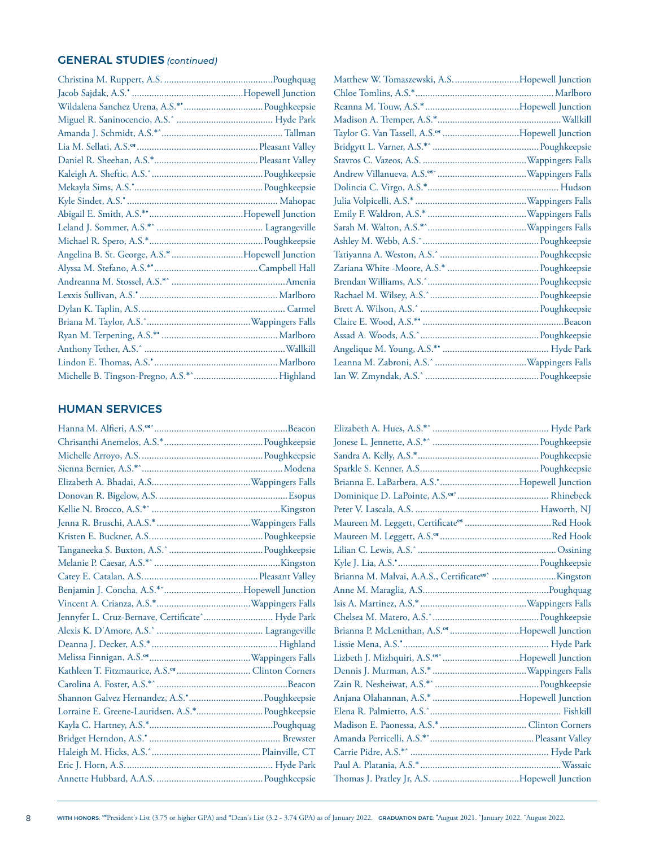#### GENERAL STUDIES *(continued)*

| Angelina B. St. George, A.S.* Hopewell Junction |  |
|-------------------------------------------------|--|
|                                                 |  |
|                                                 |  |
|                                                 |  |
|                                                 |  |
|                                                 |  |
|                                                 |  |
|                                                 |  |
|                                                 |  |
|                                                 |  |

| Matthew W. Tomaszewski, A.SHopewell Junction                |  |
|-------------------------------------------------------------|--|
|                                                             |  |
|                                                             |  |
|                                                             |  |
| Taylor G. Van Tassell, A.S. <sup>or</sup> Hopewell Junction |  |
|                                                             |  |
|                                                             |  |
|                                                             |  |
|                                                             |  |
|                                                             |  |
|                                                             |  |
|                                                             |  |
|                                                             |  |
|                                                             |  |
|                                                             |  |
|                                                             |  |
|                                                             |  |
|                                                             |  |
|                                                             |  |
|                                                             |  |
|                                                             |  |
|                                                             |  |
|                                                             |  |
|                                                             |  |

#### HUMAN SERVICES

| Jennyfer L. Cruz-Bernave, Certificate^ Hyde Park |  |
|--------------------------------------------------|--|
|                                                  |  |
|                                                  |  |
|                                                  |  |
|                                                  |  |
|                                                  |  |
|                                                  |  |
| Lorraine E. Greene-Lauridsen, A.S.* Poughkeepsie |  |
|                                                  |  |
|                                                  |  |
|                                                  |  |
|                                                  |  |
|                                                  |  |
|                                                  |  |

| Brianna P. McLenithan, A.S. <sup>os</sup> Hopewell Junction |  |
|-------------------------------------------------------------|--|
|                                                             |  |
| Lizbeth J. Mizhquiri, A.S. <sup>os^</sup> Hopewell Junction |  |
|                                                             |  |
|                                                             |  |
|                                                             |  |
|                                                             |  |
|                                                             |  |
|                                                             |  |
|                                                             |  |
|                                                             |  |
|                                                             |  |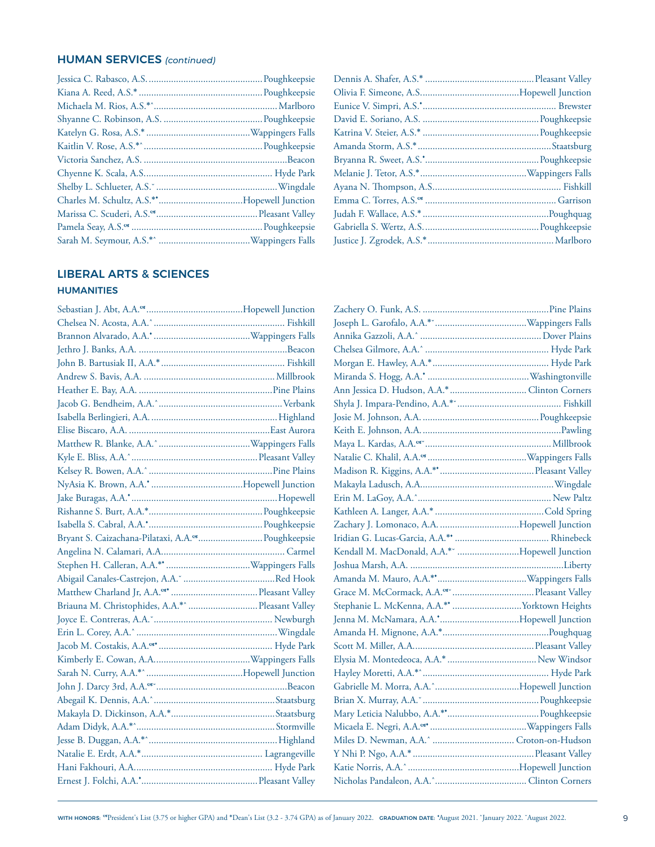#### HUMAN SERVICES *(continued)*

#### LIBERAL ARTS & SCIENCES

#### **HUMANITIES**

| Bryant S. Caizachana-Pilataxi, A.A. <sup>os</sup> Poughkeepsie |  |
|----------------------------------------------------------------|--|
|                                                                |  |
|                                                                |  |
|                                                                |  |
|                                                                |  |
|                                                                |  |
|                                                                |  |
|                                                                |  |
|                                                                |  |
|                                                                |  |
|                                                                |  |
|                                                                |  |
|                                                                |  |
|                                                                |  |
|                                                                |  |
|                                                                |  |
|                                                                |  |
|                                                                |  |
|                                                                |  |

| Kendall M. MacDonald, A.A.* "Hopewell Junction |  |
|------------------------------------------------|--|
|                                                |  |
|                                                |  |
|                                                |  |
|                                                |  |
|                                                |  |
|                                                |  |
|                                                |  |
|                                                |  |
|                                                |  |
|                                                |  |
|                                                |  |
|                                                |  |
|                                                |  |
|                                                |  |
|                                                |  |
|                                                |  |
|                                                |  |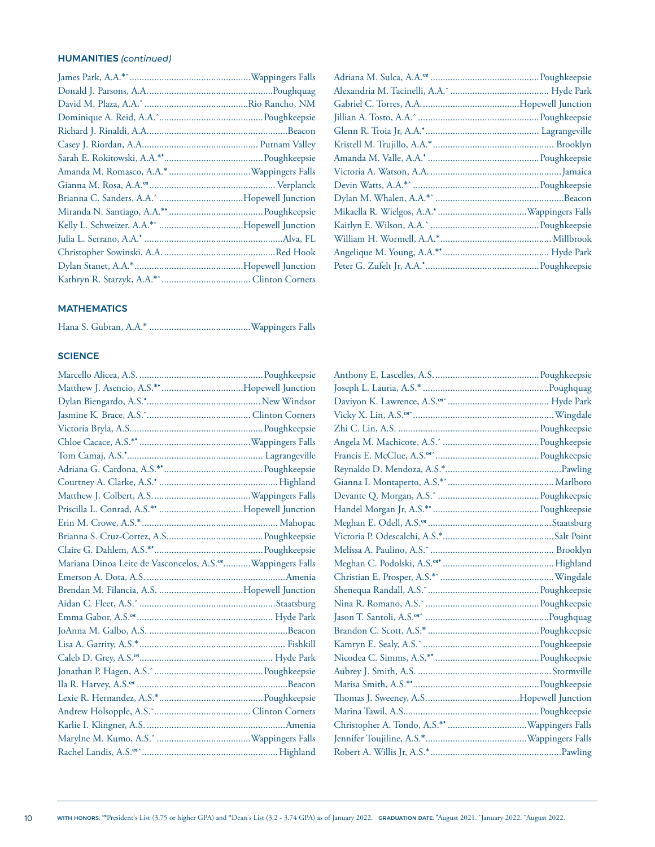#### HUMANITIES *(continued)*

#### Adriana M. Sulca, A.A. ............................................Poughkeepsie Alexandria M. Tacinelli, A.A.˘ ........................................ Hyde Park Gabriel C. Torres, A.A........................................Hopewell Junction Jillian A. Tosto, A.A.ˆ .................................................Poughkeepsie Glenn R. Troia Jr, A.A.♦ .............................................. Lagrangeville Kristell M. Trujillo, A.A.\*................................................. Brooklyn Amanda M. Valle, A.A.♦ .............................................Poughkeepsie Victoria A. Watson, A.A......................................................Jamaica Devin Watts, A.A.\*ˆ ...................................................Poughkeepsie Dylan M. Whalen, A.A.\*ˆ ....................................................Beacon Mikaella R. Wielgos, A.A.♦ ....................................Wappingers Falls Kaitlyn E. Wilson, A.A.ˆ ............................................Poughkeepsie William H. Wormell, A.A.\*.............................................Millbrook Angelique M. Young, A.A.\* ♦ ........................................... Hyde Park Peter G. Zufelt Jr, A.A.♦ ..............................................Poughkeepsie

#### **MATHEMATICS**

|--|--|--|--|

#### **SCIENCE**

| Mariana Dinoa Leite de Vasconcelos, A.S. <sup>68</sup> Wappingers Falls |  |
|-------------------------------------------------------------------------|--|
|                                                                         |  |
|                                                                         |  |
|                                                                         |  |
|                                                                         |  |
|                                                                         |  |
|                                                                         |  |
|                                                                         |  |
|                                                                         |  |
|                                                                         |  |
|                                                                         |  |
|                                                                         |  |
|                                                                         |  |
|                                                                         |  |
| Rachel Landis, A.S.(Sax, Communication, Changel and Highland            |  |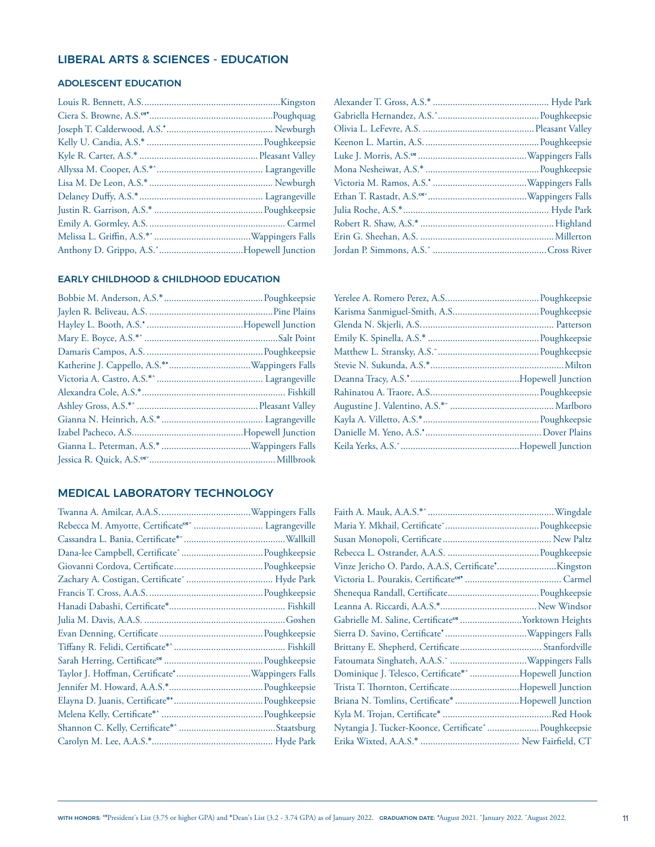#### LIBERAL ARTS & SCIENCES - EDUCATION

#### ADOLESCENT EDUCATION

#### EARLY CHILDHOOD & CHILDHOOD EDUCATION

#### MEDICAL LABORATORY TECHNOLOGY

| Rebecca M. Amyotte, Certificate <sup>es</sup> Lagrangeville |
|-------------------------------------------------------------|
| Cassandra L. Bania, Certificate* Manuari Manuari Mallkill   |
|                                                             |
|                                                             |
| Zachary A. Costigan, Certificate Manumman and Hyde Park     |
|                                                             |
|                                                             |
|                                                             |
|                                                             |
|                                                             |
|                                                             |
|                                                             |
|                                                             |
|                                                             |
|                                                             |
|                                                             |
|                                                             |
|                                                             |

| Gabrielle M. Saline, Certificate <sup>es</sup> Yorktown Heights |  |
|-----------------------------------------------------------------|--|
|                                                                 |  |
|                                                                 |  |
| Fatoumata Singhateh, A.A.S. Camman and Mappingers Falls         |  |
| Dominique J. Telesco, Certificate*^ Hopewell Junction           |  |
| Trista T. Thornton, CertificateHopewell Junction                |  |
| Briana N. Tomlins, Certificate* Hopewell Junction               |  |
|                                                                 |  |
| Nytangia J. Tucker-Koonce, Certificate^ Poughkeepsie            |  |
|                                                                 |  |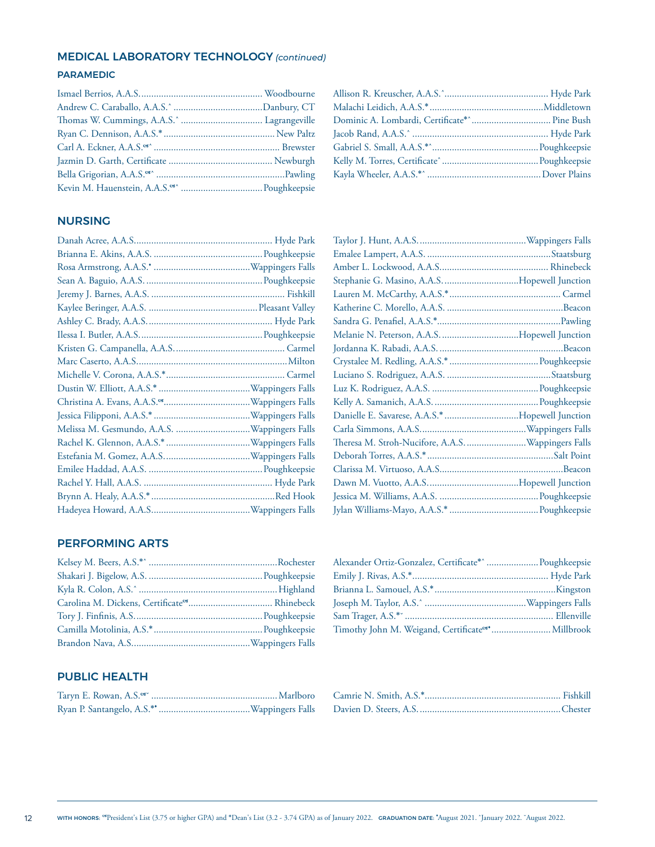#### MEDICAL LABORATORY TECHNOLOGY *(continued)*

#### PARAMEDIC

#### NURSING

|  | Theresa M. Stroh-Nucifore, A.A.S.  Wappingers Falls |  |
|--|-----------------------------------------------------|--|
|  |                                                     |  |
|  |                                                     |  |
|  |                                                     |  |
|  |                                                     |  |
|  |                                                     |  |
|  |                                                     |  |

#### PERFORMING ARTS

| Alexander Ortiz-Gonzalez, Certificate*^  Poughkeepsie         |  |
|---------------------------------------------------------------|--|
|                                                               |  |
|                                                               |  |
|                                                               |  |
|                                                               |  |
| Timothy John M. Weigand, Certificate <sup>os*</sup> Millbrook |  |

#### PUBLIC HEALTH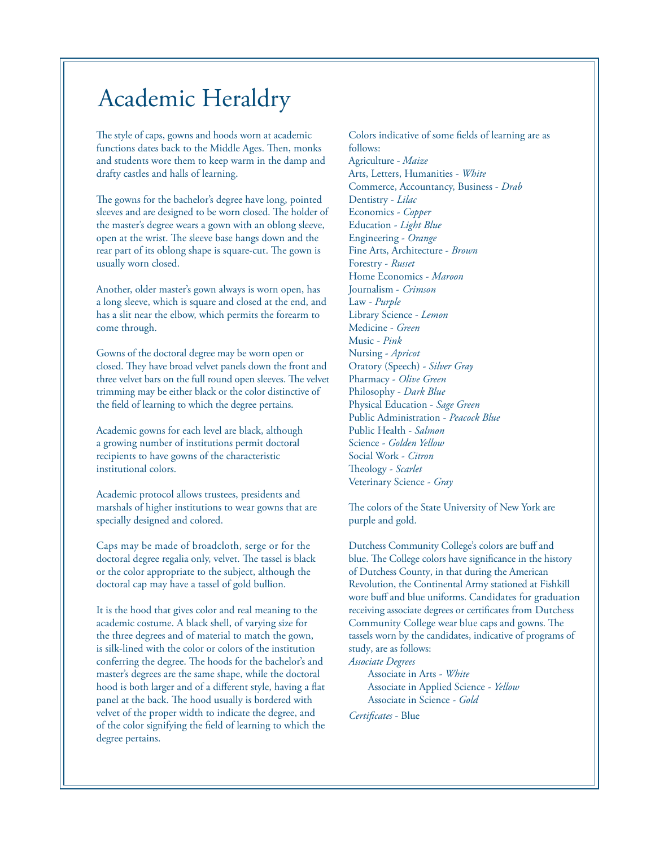### Academic Heraldry

The style of caps, gowns and hoods worn at academic functions dates back to the Middle Ages. Then, monks and students wore them to keep warm in the damp and drafty castles and halls of learning.

The gowns for the bachelor's degree have long, pointed sleeves and are designed to be worn closed. The holder of the master's degree wears a gown with an oblong sleeve, open at the wrist. The sleeve base hangs down and the rear part of its oblong shape is square-cut. The gown is usually worn closed.

Another, older master's gown always is worn open, has a long sleeve, which is square and closed at the end, and has a slit near the elbow, which permits the forearm to come through.

Gowns of the doctoral degree may be worn open or closed. They have broad velvet panels down the front and three velvet bars on the full round open sleeves. The velvet trimming may be either black or the color distinctive of the feld of learning to which the degree pertains.

Academic gowns for each level are black, although a growing number of institutions permit doctoral recipients to have gowns of the characteristic institutional colors.

Academic protocol allows trustees, presidents and marshals of higher institutions to wear gowns that are specially designed and colored.

Caps may be made of broadcloth, serge or for the doctoral degree regalia only, velvet. The tassel is black or the color appropriate to the subject, although the doctoral cap may have a tassel of gold bullion.

It is the hood that gives color and real meaning to the academic costume. A black shell, of varying size for the three degrees and of material to match the gown, is silk-lined with the color or colors of the institution conferring the degree. The hoods for the bachelor's and master's degrees are the same shape, while the doctoral hood is both larger and of a diferent style, having a fat panel at the back. The hood usually is bordered with velvet of the proper width to indicate the degree, and of the color signifying the feld of learning to which the degree pertains.

Colors indicative of some felds of learning are as follows: Agriculture - *Maize*  Arts, Letters, Humanities - *White*  Commerce, Accountancy, Business - *Drab*  Dentistry - *Lilac*  Economics - *Copper*  Education - *Light Blue*  Engineering - *Orange*  Fine Arts, Architecture - *Brown*  Forestry - *Russet*  Home Economics - *Maroon*  Journalism - *Crimson*  Law - *Purple*  Library Science - *Lemon*  Medicine - *Green*  Music - *Pink*  Nursing - *Apricot*  Oratory (Speech) - *Silver Gray*  Pharmacy - *Olive Green*  Philosophy - *Dark Blue*  Physical Education - *Sage Green*  Public Administration - *Peacock Blue*  Public Health - *Salmon*  Science - *Golden Yellow*  Social Work - *Citron*  Theology - Scarlet Veterinary Science - *Gray* 

The colors of the State University of New York are purple and gold.

wore buff and blue uniforms. Candidates for graduation receiving associate degrees or certifcates from Dutchess Community College wear blue caps and gowns. The Dutchess Community College's colors are buff and blue. The College colors have significance in the history of Dutchess County, in that during the American Revolution, the Continental Army stationed at Fishkill tassels worn by the candidates, indicative of programs of study, are as follows:

*Associate Degrees* 

Associate in Arts - *White*  Associate in Applied Science - *Yellow*  Associate in Science - *Gold* 

*Certifcates* - Blue